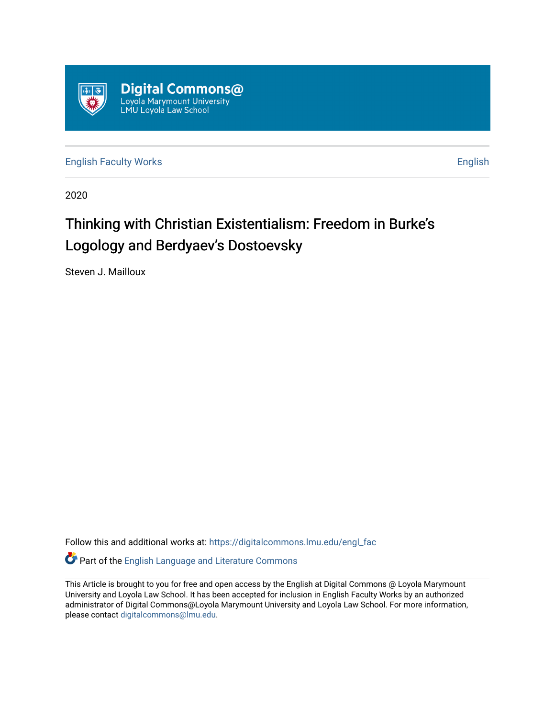

[English Faculty Works](https://digitalcommons.lmu.edu/engl_fac) **English** English

2020

# Thinking with Christian Existentialism: Freedom in Burke's Logology and Berdyaev's Dostoevsky

Steven J. Mailloux

Follow this and additional works at: [https://digitalcommons.lmu.edu/engl\\_fac](https://digitalcommons.lmu.edu/engl_fac?utm_source=digitalcommons.lmu.edu%2Fengl_fac%2F86&utm_medium=PDF&utm_campaign=PDFCoverPages)

Part of the [English Language and Literature Commons](http://network.bepress.com/hgg/discipline/455?utm_source=digitalcommons.lmu.edu%2Fengl_fac%2F86&utm_medium=PDF&utm_campaign=PDFCoverPages)

This Article is brought to you for free and open access by the English at Digital Commons @ Loyola Marymount University and Loyola Law School. It has been accepted for inclusion in English Faculty Works by an authorized administrator of Digital Commons@Loyola Marymount University and Loyola Law School. For more information, please contact [digitalcommons@lmu.edu](mailto:digitalcommons@lmu.edu).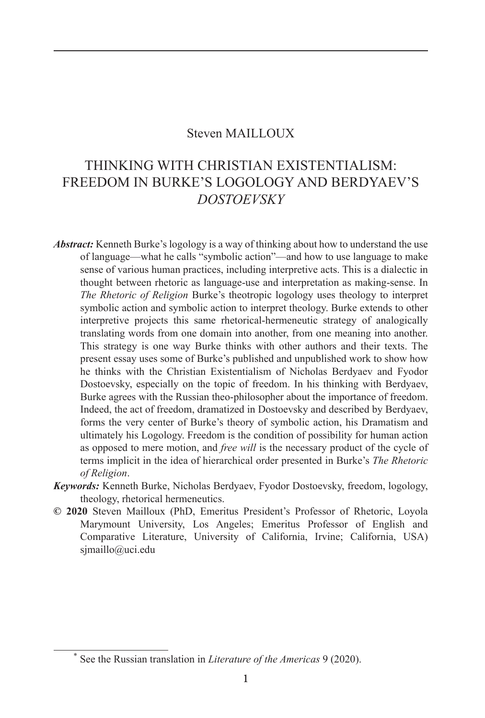### Steven MAILLOUX

# THINKING WITH CHRISTIAN EXISTENTIALISM: FREEDOM IN BURKE'S LOGOLOGY AND BERDYAEV'S *DOSTOEVSKY*

- *Abstract:* Kenneth Burke's logology is a way of thinking about how to understand the use of language—what he calls "symbolic action"—and how to use language to make sense of various human practices, including interpretive acts. This is a dialectic in thought between rhetoric as language-use and interpretation as making-sense. In *The Rhetoric of Religion* Burke's theotropic logology uses theology to interpret symbolic action and symbolic action to interpret theology. Burke extends to other interpretive projects this same rhetorical-hermeneutic strategy of analogically translating words from one domain into another, from one meaning into another. This strategy is one way Burke thinks with other authors and their texts. The present essay uses some of Burke's published and unpublished work to show how he thinks with the Christian Existentialism of Nicholas Berdyaev and Fyodor Dostoevsky, especially on the topic of freedom. In his thinking with Berdyaev, Burke agrees with the Russian theo-philosopher about the importance of freedom. Indeed, the act of freedom, dramatized in Dostoevsky and described by Berdyaev, forms the very center of Burke's theory of symbolic action, his Dramatism and ultimately his Logology. Freedom is the condition of possibility for human action as opposed to mere motion, and *free will* is the necessary product of the cycle of terms implicit in the idea of hierarchical order presented in Burke's *The Rhetoric of Religion*.
- *Keywords:* Kenneth Burke, Nicholas Berdyaev, Fyodor Dostoevsky, freedom, logology, theology, rhetorical hermeneutics.
- **© 2020** Steven Mailloux (PhD, Emeritus President's Professor of Rhetoric, Loyola Marymount University, Los Angeles; Emeritus Professor of English and Comparative Literature, University of California, Irvine; California, USA) sjmaillo@uci.edu

<sup>\*</sup> See the Russian translation in *Literature of the Americas* 9 (2020).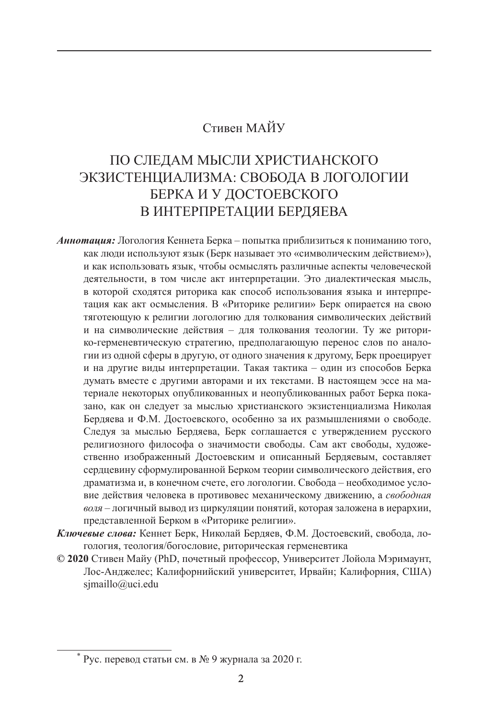## Стивен МАЙУ

# ПО СЛЕДАМ МЫСЛИ ХРИСТИАНСКОГО ЭКЗИСТЕНЦИАЛИЗМА: СВОБОДА В ЛОГОЛОГИИ БЕРКА И У ДОСТОЕВСКОГО В ИНТЕРПРЕТАЦИИ БЕРДЯЕВА

- *Аннотация:* Логология Кеннета Берка попытка приблизиться к пониманию того, как люди используют язык (Берк называет это «символическим действием»), и как использовать язык, чтобы осмыслять различные аспекты человеческой деятельности, в том числе акт интерпретации. Это диалектическая мысль, в которой сходятся риторика как способ использования языка и интерпретация как акт осмысления. В «Риторике религии» Берк опирается на свою тяготеющую к религии логологию для толкования символических действий и на символические действия – для толкования теологии. Ту же риторико-герменевтическую стратегию, предполагающую перенос слов по аналогии из одной сферы в другую, от одного значения к другому, Берк проецирует и на другие виды интерпретации. Такая тактика – один из способов Берка думать вместе с другими авторами и их текстами. В настоящем эссе на материале некоторых опубликованных и неопубликованных работ Берка показано, как он следует за мыслью христианского экзистенциализма Николая Бердяева и Ф.М. Достоевского, особенно за их размышлениями о свободе. Следуя за мыслью Бердяева, Берк соглашается с утверждением русского религиозного философа о значимости свободы. Сам акт свободы, художественно изображенный Достоевским и описанный Бердяевым, составляет сердцевину сформулированной Берком теории символического действия, его драматизма и, в конечном счете, его логологии. Свобода – необходимое условие действия человека в противовес механическому движению, а *свободная воля* – логичный вывод из циркуляции понятий, которая заложена в иерархии, представленной Берком в «Риторике религии».
- *Ключевые слова:* Кеннет Берк, Николай Бердяев, Ф.М. Достоевский, свобода, логология, теология/богословие, риторическая герменевтика
- **© 2020** Стивен Майу (PhD, почетный профессор, Университет Лойола Мэримаунт, Лос-Анджелес; Калифорнийский университет, Ирвайн; Калифорния, США) simaillo@uci.edu

<sup>\*</sup> Рус. перевод статьи см. в № 9 журнала за 2020 г.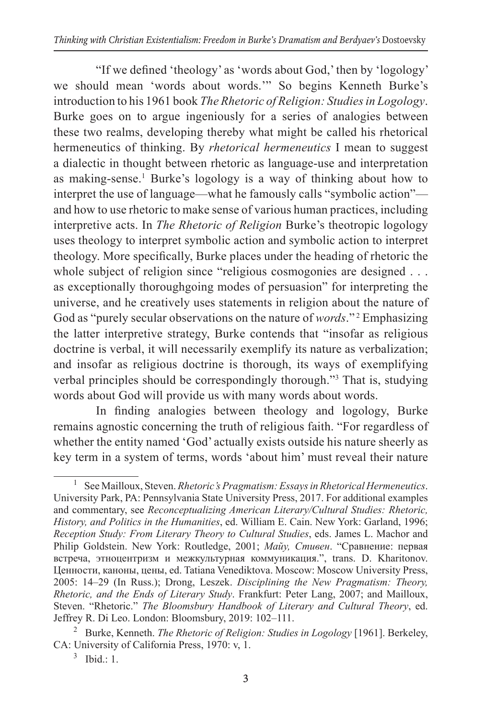"If we defined 'theology' as 'words about God,' then by 'logology' we should mean 'words about words.'" So begins Kenneth Burke's introduction to his 1961 book *The Rhetoric of Religion: Studies in Logology*. Burke goes on to argue ingeniously for a series of analogies between these two realms, developing thereby what might be called his rhetorical hermeneutics of thinking. By *rhetorical hermeneutics* I mean to suggest a dialectic in thought between rhetoric as language-use and interpretation as making-sense.<sup>1</sup> Burke's logology is a way of thinking about how to interpret the use of language—what he famously calls "symbolic action" and how to use rhetoric to make sense of various human practices, including interpretive acts. In *The Rhetoric of Religion* Burke's theotropic logology uses theology to interpret symbolic action and symbolic action to interpret theology. More specifically, Burke places under the heading of rhetoric the whole subject of religion since "religious cosmogonies are designed . . . as exceptionally thoroughgoing modes of persuasion" for interpreting the universe, and he creatively uses statements in religion about the nature of God as "purely secular observations on the nature of *words*."<sup>2</sup> Emphasizing the latter interpretive strategy, Burke contends that "insofar as religious doctrine is verbal, it will necessarily exemplify its nature as verbalization; and insofar as religious doctrine is thorough, its ways of exemplifying verbal principles should be correspondingly thorough."3 That is, studying words about God will provide us with many words about words.

In finding analogies between theology and logology, Burke remains agnostic concerning the truth of religious faith. "For regardless of whether the entity named 'God' actually exists outside his nature sheerly as key term in a system of terms, words 'about him' must reveal their nature

<sup>1</sup> See Mailloux, Steven. *Rhetoric's Pragmatism: Essays in Rhetorical Hermeneutics*. University Park, PA: Pennsylvania State University Press, 2017. For additional examples and commentary, see *Reconceptualizing American Literary/Cultural Studies: Rhetoric, History, and Politics in the Humanities*, ed. William E. Cain. New York: Garland, 1996; *Reception Study: From Literary Theory to Cultural Studies*, eds. James L. Machor and Philip Goldstein. New York: Routledge, 2001; *Майу, Стивен*. "Сравнение: первая встреча, этноцентризм и межкультурная коммуникация.", trans. D. Kharitonov. Ценности, каноны, цены, ed. Tatiana Venediktova. Moscow: Moscow University Press, 2005: 14–29 (In Russ.); Drong, Leszek. *Disciplining the New Pragmatism: Theory, Rhetoric, and the Ends of Literary Study*. Frankfurt: Peter Lang, 2007; and Mailloux, Steven. "Rhetoric." *The Bloomsbury Handbook of Literary and Cultural Theory*, ed. Jeffrey R. Di Leo. London: Bloomsbury, 2019: 102–111.

<sup>2</sup> Burke, Kenneth. *The Rhetoric of Religion: Studies in Logology* [1961]. Berkeley, CA: University of California Press, 1970: v, 1.

 $3$  Ibid.: 1.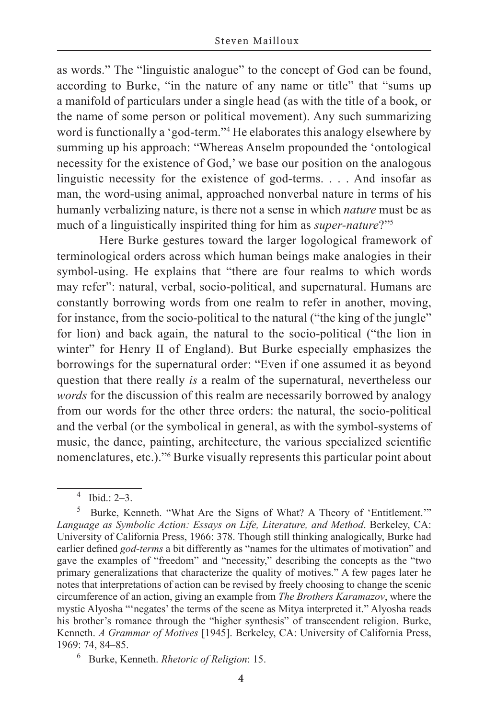as words." The "linguistic analogue" to the concept of God can be found, according to Burke, "in the nature of any name or title" that "sums up a manifold of particulars under a single head (as with the title of a book, or the name of some person or political movement). Any such summarizing word is functionally a 'god-term."<sup>4</sup> He elaborates this analogy elsewhere by summing up his approach: "Whereas Anselm propounded the 'ontological necessity for the existence of God,' we base our position on the analogous linguistic necessity for the existence of god-terms. . . . And insofar as man, the word-using animal, approached nonverbal nature in terms of his humanly verbalizing nature, is there not a sense in which *nature* must be as much of a linguistically inspirited thing for him as *super-nature*?"5

Here Burke gestures toward the larger logological framework of terminological orders across which human beings make analogies in their symbol-using. He explains that "there are four realms to which words may refer": natural, verbal, socio-political, and supernatural. Humans are constantly borrowing words from one realm to refer in another, moving, for instance, from the socio-political to the natural ("the king of the jungle" for lion) and back again, the natural to the socio-political ("the lion in winter" for Henry II of England). But Burke especially emphasizes the borrowings for the supernatural order: "Even if one assumed it as beyond question that there really *is* a realm of the supernatural, nevertheless our *words* for the discussion of this realm are necessarily borrowed by analogy from our words for the other three orders: the natural, the socio-political and the verbal (or the symbolical in general, as with the symbol-systems of music, the dance, painting, architecture, the various specialized scientific nomenclatures, etc.)."6 Burke visually represents this particular point about

 $4$  Ibid  $2-3$ .

<sup>5</sup> Burke, Kenneth. "What Are the Signs of What? A Theory of 'Entitlement.'" *Language as Symbolic Action: Essays on Life, Literature, and Method*. Berkeley, CA: University of California Press, 1966: 378. Though still thinking analogically, Burke had earlier defined *god-terms* a bit differently as "names for the ultimates of motivation" and gave the examples of "freedom" and "necessity," describing the concepts as the "two primary generalizations that characterize the quality of motives." A few pages later he notes that interpretations of action can be revised by freely choosing to change the scenic circumference of an action, giving an example from *The Brothers Karamazov*, where the mystic Alyosha "'negates' the terms of the scene as Mitya interpreted it." Alyosha reads his brother's romance through the "higher synthesis" of transcendent religion. Burke, Kenneth. *A Grammar of Motives* [1945]. Berkeley, CA: University of California Press, 1969: 74, 84–85.

<sup>6</sup> Burke, Kenneth. *Rhetoric of Religion*: 15.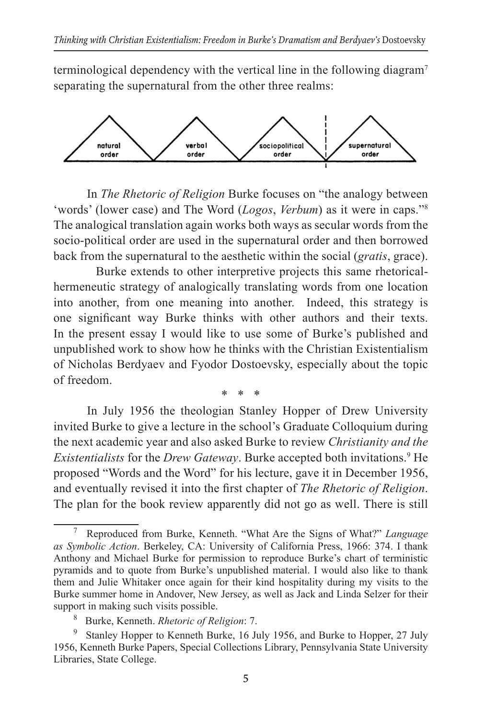terminological dependency with the vertical line in the following diagram<sup>7</sup> separating the supernatural from the other three realms:



In *The Rhetoric of Religion* Burke focuses on "the analogy between 'words' (lower case) and The Word (*Logos*, *Verbum*) as it were in caps."8 The analogical translation again works both ways as secular words from the socio-political order are used in the supernatural order and then borrowed back from the supernatural to the aesthetic within the social (*gratis*, grace).

Burke extends to other interpretive projects this same rhetoricalhermeneutic strategy of analogically translating words from one location into another, from one meaning into another. Indeed, this strategy is one significant way Burke thinks with other authors and their texts. In the present essay I would like to use some of Burke's published and unpublished work to show how he thinks with the Christian Existentialism of Nicholas Berdyaev and Fyodor Dostoevsky, especially about the topic of freedom.

In July 1956 the theologian Stanley Hopper of Drew University invited Burke to give a lecture in the school's Graduate Colloquium during the next academic year and also asked Burke to review *Christianity and the Existentialists* for the *Drew Gateway*. Burke accepted both invitations.9 He proposed "Words and the Word" for his lecture, gave it in December 1956, and eventually revised it into the first chapter of *The Rhetoric of Religion*. The plan for the book review apparently did not go as well. There is still

\* \* \*

<sup>7</sup> Reproduced from Burke, Kenneth. "What Are the Signs of What?" *Language as Symbolic Action*. Berkeley, CA: University of California Press, 1966: 374. I thank Anthony and Michael Burke for permission to reproduce Burke's chart of terministic pyramids and to quote from Burke's unpublished material. I would also like to thank them and Julie Whitaker once again for their kind hospitality during my visits to the Burke summer home in Andover, New Jersey, as well as Jack and Linda Selzer for their

Burke, Kenneth. *Rhetoric of Religion*: 7.

<sup>&</sup>lt;sup>9</sup> Stanley Hopper to Kenneth Burke, 16 July 1956, and Burke to Hopper, 27 July 1956, Kenneth Burke Papers, Special Collections Library, Pennsylvania State University Libraries, State College.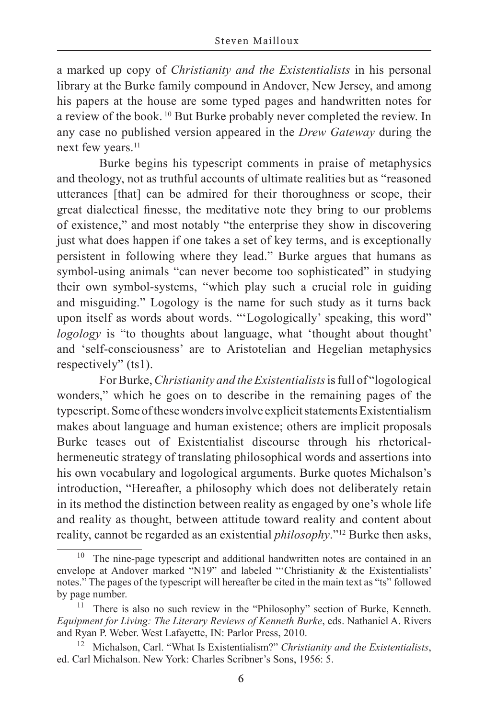a marked up copy of *Christianity and the Existentialists* in his personal library at the Burke family compound in Andover, New Jersey, and among his papers at the house are some typed pages and handwritten notes for a review of the book. 10 But Burke probably never completed the review. In any case no published version appeared in the *Drew Gateway* during the next few years.<sup>11</sup>

Burke begins his typescript comments in praise of metaphysics and theology, not as truthful accounts of ultimate realities but as "reasoned utterances [that] can be admired for their thoroughness or scope, their great dialectical finesse, the meditative note they bring to our problems of existence," and most notably "the enterprise they show in discovering just what does happen if one takes a set of key terms, and is exceptionally persistent in following where they lead." Burke argues that humans as symbol-using animals "can never become too sophisticated" in studying their own symbol-systems, "which play such a crucial role in guiding and misguiding." Logology is the name for such study as it turns back upon itself as words about words. "'Logologically' speaking, this word" *logology* is "to thoughts about language, what 'thought about thought' and 'self-consciousness' are to Aristotelian and Hegelian metaphysics respectively" (ts1).

For Burke, *Christianity and the Existentialists* is full of "logological wonders," which he goes on to describe in the remaining pages of the typescript. Some of these wonders involve explicit statements Existentialism makes about language and human existence; others are implicit proposals Burke teases out of Existentialist discourse through his rhetoricalhermeneutic strategy of translating philosophical words and assertions into his own vocabulary and logological arguments. Burke quotes Michalson's introduction, "Hereafter, a philosophy which does not deliberately retain in its method the distinction between reality as engaged by one's whole life and reality as thought, between attitude toward reality and content about reality, cannot be regarded as an existential *philosophy*."12 Burke then asks,

The nine-page typescript and additional handwritten notes are contained in an envelope at Andover marked "N19" and labeled "'Christianity & the Existentialists' notes." The pages of the typescript will hereafter be cited in the main text as "ts" followed by page number.

<sup>&</sup>lt;sup>11</sup> There is also no such review in the "Philosophy" section of Burke, Kenneth. *Equipment for Living: The Literary Reviews of Kenneth Burke*, eds. Nathaniel A. Rivers and Ryan P. Weber. West Lafayette, IN: Parlor Press, 2010.

<sup>12</sup> Michalson, Carl. "What Is Existentialism?" *Christianity and the Existentialists*, ed. Carl Michalson. New York: Charles Scribner's Sons, 1956: 5.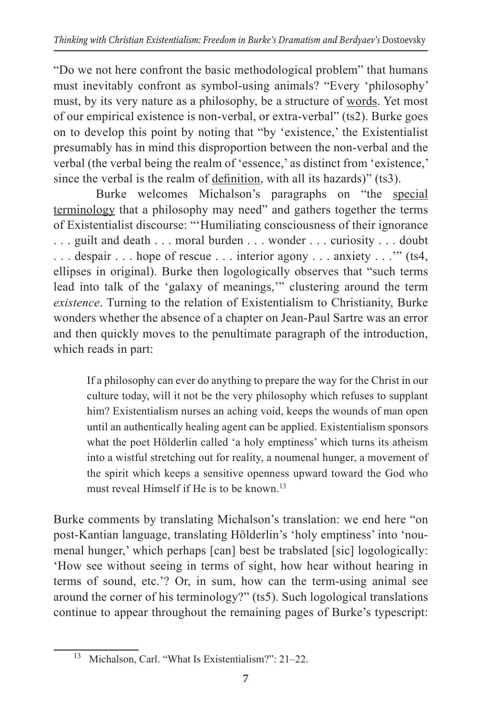"Do we not here confront the basic methodological problem" that humans must inevitably confront as symbol-using animals? "Every 'philosophy' must, by its very nature as a philosophy, be a structure of words. Yet most of our empirical existence is non-verbal, or extra-verbal" (ts2). Burke goes on to develop this point by noting that "by 'existence,' the Existentialist presumably has in mind this disproportion between the non-verbal and the verbal (the verbal being the realm of 'essence,' as distinct from 'existence,' since the verbal is the realm of definition, with all its hazards)" (ts3).

Burke welcomes Michalson's paragraphs on "the special terminology that a philosophy may need" and gathers together the terms of Existentialist discourse: "'Humiliating consciousness of their ignorance . . . guilt and death . . . moral burden . . . wonder . . . curiosity . . . doubt . . . despair . . . hope of rescue . . . interior agony . . . anxiety . . .'" (ts4, ellipses in original). Burke then logologically observes that "such terms lead into talk of the 'galaxy of meanings,'" clustering around the term *existence*. Turning to the relation of Existentialism to Christianity, Burke wonders whether the absence of a chapter on Jean-Paul Sartre was an error and then quickly moves to the penultimate paragraph of the introduction, which reads in part:

If a philosophy can ever do anything to prepare the way for the Christ in our culture today, will it not be the very philosophy which refuses to supplant him? Existentialism nurses an aching void, keeps the wounds of man open until an authentically healing agent can be applied. Existentialism sponsors what the poet Hölderlin called 'a holy emptiness' which turns its atheism into a wistful stretching out for reality, a noumenal hunger, a movement of the spirit which keeps a sensitive openness upward toward the God who must reveal Himself if He is to be known.<sup>13</sup>

Burke comments by translating Michalson's translation: we end here "on post-Kantian language, translating Hölderlin's 'holy emptiness' into 'noumenal hunger,' which perhaps [can] best be trabslated [sic] logologically: 'How see without seeing in terms of sight, how hear without hearing in terms of sound, etc.'? Or, in sum, how can the term-using animal see around the corner of his terminology?" (ts5). Such logological translations continue to appear throughout the remaining pages of Burke's typescript:

<sup>13</sup> Michalson, Carl. "What Is Existentialism?": 21–22.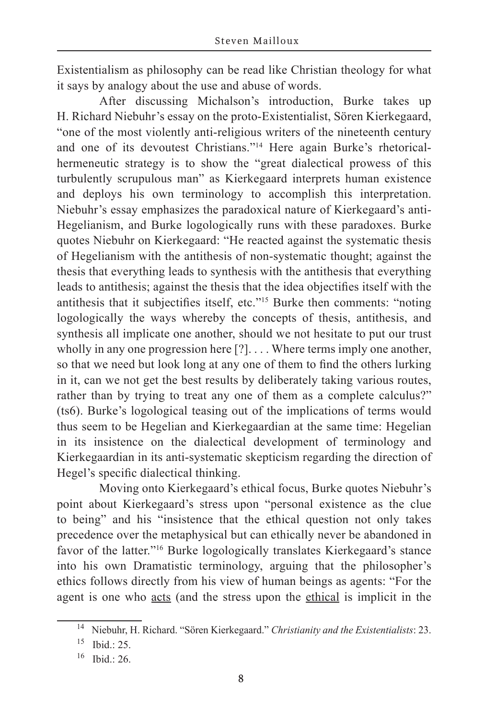Existentialism as philosophy can be read like Christian theology for what it says by analogy about the use and abuse of words.

After discussing Michalson's introduction, Burke takes up H. Richard Niebuhr's essay on the proto-Existentialist, Sören Kierkegaard, "one of the most violently anti-religious writers of the nineteenth century and one of its devoutest Christians."14 Here again Burke's rhetoricalhermeneutic strategy is to show the "great dialectical prowess of this turbulently scrupulous man" as Kierkegaard interprets human existence and deploys his own terminology to accomplish this interpretation. Niebuhr's essay emphasizes the paradoxical nature of Kierkegaard's anti-Hegelianism, and Burke logologically runs with these paradoxes. Burke quotes Niebuhr on Kierkegaard: "He reacted against the systematic thesis of Hegelianism with the antithesis of non-systematic thought; against the thesis that everything leads to synthesis with the antithesis that everything leads to antithesis; against the thesis that the idea objectifies itself with the antithesis that it subjectifies itself, etc."15 Burke then comments: "noting logologically the ways whereby the concepts of thesis, antithesis, and synthesis all implicate one another, should we not hesitate to put our trust wholly in any one progression here [?].... Where terms imply one another, so that we need but look long at any one of them to find the others lurking in it, can we not get the best results by deliberately taking various routes, rather than by trying to treat any one of them as a complete calculus?" (ts6). Burke's logological teasing out of the implications of terms would thus seem to be Hegelian and Kierkegaardian at the same time: Hegelian in its insistence on the dialectical development of terminology and Kierkegaardian in its anti-systematic skepticism regarding the direction of Hegel's specific dialectical thinking.

Moving onto Kierkegaard's ethical focus, Burke quotes Niebuhr's point about Kierkegaard's stress upon "personal existence as the clue to being" and his "insistence that the ethical question not only takes precedence over the metaphysical but can ethically never be abandoned in favor of the latter."16 Burke logologically translates Kierkegaard's stance into his own Dramatistic terminology, arguing that the philosopher's ethics follows directly from his view of human beings as agents: "For the agent is one who acts (and the stress upon the ethical is implicit in the

<sup>14</sup> Niebuhr, H. Richard. "Sören Kierkegaard." *Christianity and the Existentialists*: 23.

<sup>15</sup> Ibid.: 25.

<sup>16</sup> Ibid.: 26.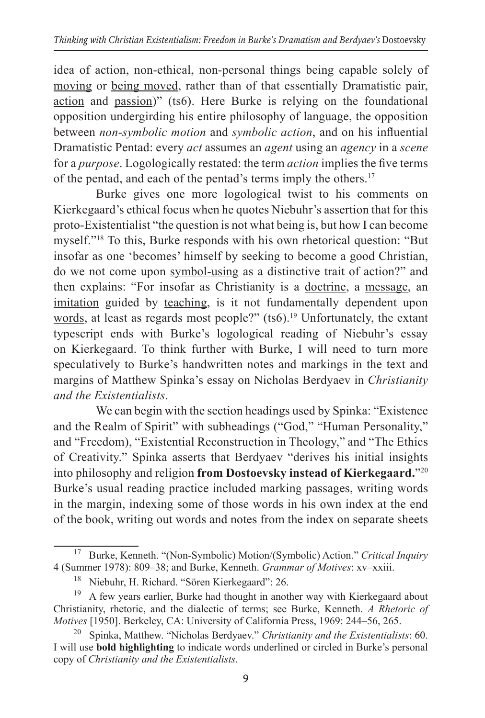idea of action, non-ethical, non-personal things being capable solely of moving or being moved, rather than of that essentially Dramatistic pair, action and passion)" (ts6). Here Burke is relying on the foundational opposition undergirding his entire philosophy of language, the opposition between *non-symbolic motion* and *symbolic action*, and on his influential Dramatistic Pentad: every *act* assumes an *agent* using an *agency* in a *scene* for a *purpose*. Logologically restated: the term *action* implies the five terms of the pentad, and each of the pentad's terms imply the others.17

Burke gives one more logological twist to his comments on Kierkegaard's ethical focus when he quotes Niebuhr's assertion that for this proto-Existentialist "the question is not what being is, but how I can become myself."18 To this, Burke responds with his own rhetorical question: "But insofar as one 'becomes' himself by seeking to become a good Christian, do we not come upon symbol-using as a distinctive trait of action?" and then explains: "For insofar as Christianity is a doctrine, a message, an imitation guided by teaching, is it not fundamentally dependent upon words, at least as regards most people?" (ts6).<sup>19</sup> Unfortunately, the extant typescript ends with Burke's logological reading of Niebuhr's essay on Kierkegaard. To think further with Burke, I will need to turn more speculatively to Burke's handwritten notes and markings in the text and margins of Matthew Spinka's essay on Nicholas Berdyaev in *Christianity and the Existentialists*.

We can begin with the section headings used by Spinka: "Existence and the Realm of Spirit" with subheadings ("God," "Human Personality," and "Freedom), "Existential Reconstruction in Theology," and "The Ethics of Creativity." Spinka asserts that Berdyaev "derives his initial insights into philosophy and religion **from Dostoevsky instead of Kierkegaard.**"20 Burke's usual reading practice included marking passages, writing words in the margin, indexing some of those words in his own index at the end of the book, writing out words and notes from the index on separate sheets

<sup>17</sup> Burke, Kenneth. "(Non-Symbolic) Motion/(Symbolic) Action." *Critical Inquiry*  4 (Summer 1978): 809–38; and Burke, Kenneth. *Grammar of Motives*: xv–xxiii.

<sup>18</sup> Niebuhr, H. Richard. "Sören Kierkegaard": 26.

<sup>&</sup>lt;sup>19</sup> A few years earlier, Burke had thought in another way with Kierkegaard about Christianity, rhetoric, and the dialectic of terms; see Burke, Kenneth. *A Rhetoric of Motives* [1950]. Berkeley, CA: University of California Press, 1969: 244–56, 265.

<sup>20</sup> Spinka, Matthew. "Nicholas Berdyaev." *Christianity and the Existentialists*: 60. I will use **bold highlighting** to indicate words underlined or circled in Burke's personal copy of *Christianity and the Existentialists*.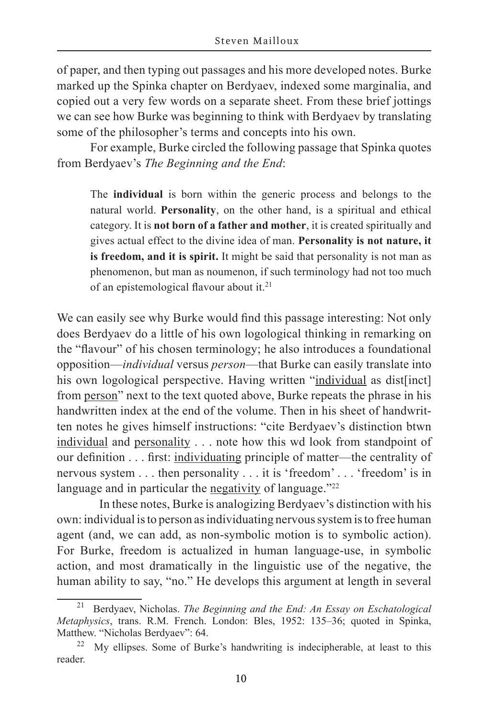of paper, and then typing out passages and his more developed notes. Burke marked up the Spinka chapter on Berdyaev, indexed some marginalia, and copied out a very few words on a separate sheet. From these brief jottings we can see how Burke was beginning to think with Berdyaev by translating some of the philosopher's terms and concepts into his own.

For example, Burke circled the following passage that Spinka quotes from Berdyaev's *The Beginning and the End*:

The **individual** is born within the generic process and belongs to the natural world. **Personality**, on the other hand, is a spiritual and ethical category. It is **not born of a father and mother**, it is created spiritually and gives actual effect to the divine idea of man. **Personality is not nature, it is freedom, and it is spirit.** It might be said that personality is not man as phenomenon, but man as noumenon, if such terminology had not too much of an epistemological flavour about it.<sup>21</sup>

We can easily see why Burke would find this passage interesting: Not only does Berdyaev do a little of his own logological thinking in remarking on the "flavour" of his chosen terminology; he also introduces a foundational opposition—*individual* versus *person*—that Burke can easily translate into his own logological perspective. Having written "individual as dist[inct] from person" next to the text quoted above, Burke repeats the phrase in his handwritten index at the end of the volume. Then in his sheet of handwritten notes he gives himself instructions: "cite Berdyaev's distinction btwn individual and personality . . . note how this wd look from standpoint of our definition . . . first: individuating principle of matter—the centrality of nervous system . . . then personality . . . it is 'freedom' . . . 'freedom' is in language and in particular the negativity of language."<sup>22</sup>

In these notes, Burke is analogizing Berdyaev's distinction with his own: individual is to person as individuating nervous system is to free human agent (and, we can add, as non-symbolic motion is to symbolic action). For Burke, freedom is actualized in human language-use, in symbolic action, and most dramatically in the linguistic use of the negative, the human ability to say, "no." He develops this argument at length in several

<sup>21</sup> Berdyaev, Nicholas. *The Beginning and the End: An Essay on Eschatological Metaphysics*, trans. R.M. French. London: Bles, 1952: 135–36; quoted in Spinka, Matthew. "Nicholas Berdyaev": 64.

My ellipses. Some of Burke's handwriting is indecipherable, at least to this reader.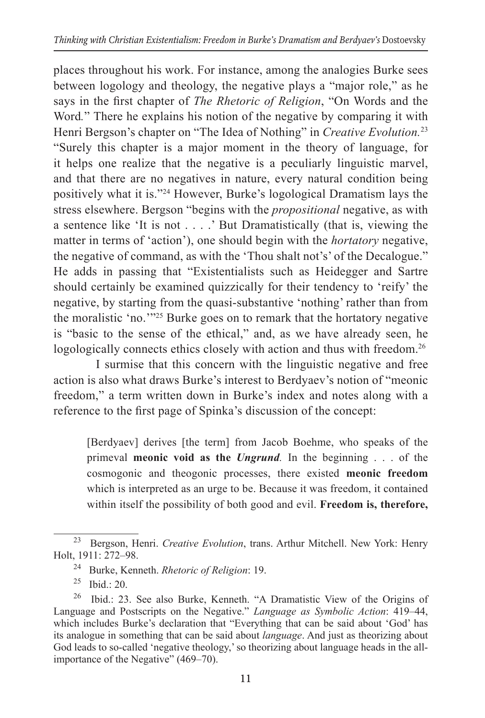places throughout his work. For instance, among the analogies Burke sees between logology and theology, the negative plays a "major role," as he says in the first chapter of *The Rhetoric of Religion*, "On Words and the Word*.*" There he explains his notion of the negative by comparing it with Henri Bergson's chapter on "The Idea of Nothing" in *Creative Evolution.*<sup>23</sup> "Surely this chapter is a major moment in the theory of language, for it helps one realize that the negative is a peculiarly linguistic marvel, and that there are no negatives in nature, every natural condition being positively what it is."24 However, Burke's logological Dramatism lays the stress elsewhere. Bergson "begins with the *propositional* negative, as with a sentence like 'It is not . . . .' But Dramatistically (that is, viewing the matter in terms of 'action'), one should begin with the *hortatory* negative, the negative of command, as with the 'Thou shalt not's' of the Decalogue." He adds in passing that "Existentialists such as Heidegger and Sartre should certainly be examined quizzically for their tendency to 'reify' the negative, by starting from the quasi-substantive 'nothing' rather than from the moralistic 'no.'"25 Burke goes on to remark that the hortatory negative is "basic to the sense of the ethical," and, as we have already seen, he logologically connects ethics closely with action and thus with freedom.<sup>26</sup>

I surmise that this concern with the linguistic negative and free action is also what draws Burke's interest to Berdyaev's notion of "meonic freedom," a term written down in Burke's index and notes along with a reference to the first page of Spinka's discussion of the concept:

[Berdyaev] derives [the term] from Jacob Boehme, who speaks of the primeval **meonic void as the** *Ungrund.* In the beginning . . . of the cosmogonic and theogonic processes, there existed **meonic freedom** which is interpreted as an urge to be. Because it was freedom, it contained within itself the possibility of both good and evil. **Freedom is, therefore,** 

<sup>23</sup> Bergson, Henri. *Creative Evolution*, trans. Arthur Mitchell. New York: Henry Holt, 1911: 272–98.

<sup>24</sup> Burke, Kenneth. *Rhetoric of Religion*: 19.

 $25$  Ibid.: 20.

<sup>26</sup> Ibid.: 23. See also Burke, Kenneth. "A Dramatistic View of the Origins of Language and Postscripts on the Negative." *Language as Symbolic Action*: 419–44, which includes Burke's declaration that "Everything that can be said about 'God' has its analogue in something that can be said about *language*. And just as theorizing about God leads to so-called 'negative theology,' so theorizing about language heads in the allimportance of the Negative" (469–70).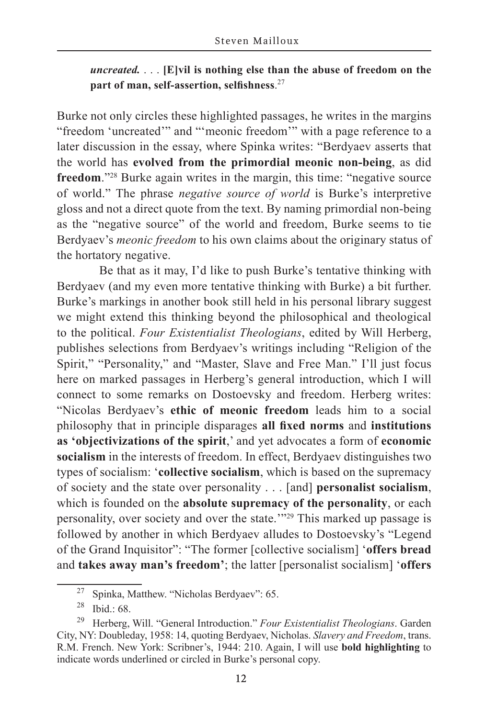### *uncreated.* . . . **[E]vil is nothing else than the abuse of freedom on the part of man, self-assertion, selfishness**. 27

Burke not only circles these highlighted passages, he writes in the margins "freedom 'uncreated'" and "'meonic freedom'" with a page reference to a later discussion in the essay, where Spinka writes: "Berdyaev asserts that the world has **evolved from the primordial meonic non-being**, as did **freedom**."<sup>28</sup> Burke again writes in the margin, this time: "negative source of world." The phrase *negative source of world* is Burke's interpretive gloss and not a direct quote from the text. By naming primordial non-being as the "negative source" of the world and freedom, Burke seems to tie Berdyaev's *meonic freedom* to his own claims about the originary status of the hortatory negative.

Be that as it may, I'd like to push Burke's tentative thinking with Berdyaev (and my even more tentative thinking with Burke) a bit further. Burke's markings in another book still held in his personal library suggest we might extend this thinking beyond the philosophical and theological to the political. *Four Existentialist Theologians*, edited by Will Herberg, publishes selections from Berdyaev's writings including "Religion of the Spirit," "Personality," and "Master, Slave and Free Man." I'll just focus here on marked passages in Herberg's general introduction, which I will connect to some remarks on Dostoevsky and freedom. Herberg writes: "Nicolas Berdyaev's **ethic of meonic freedom** leads him to a social philosophy that in principle disparages **all fixed norms** and **institutions as 'objectivizations of the spirit**,' and yet advocates a form of **economic socialism** in the interests of freedom. In effect, Berdyaev distinguishes two types of socialism: '**collective socialism**, which is based on the supremacy of society and the state over personality . . . [and] **personalist socialism**, which is founded on the **absolute supremacy of the personality**, or each personality, over society and over the state.'"29 This marked up passage is followed by another in which Berdyaev alludes to Dostoevsky's "Legend of the Grand Inquisitor": "The former [collective socialism] '**offers bread** and **takes away man's freedom'**; the latter [personalist socialism] '**offers**

<sup>27</sup> Spinka, Matthew. "Nicholas Berdyaev": 65.

<sup>28</sup> Ibid.: 68.

<sup>29</sup> Herberg, Will. "General Introduction." *Four Existentialist Theologians*. Garden City, NY: Doubleday, 1958: 14, quoting Berdyaev, Nicholas. *Slavery and Freedom*, trans. R.M. French. New York: Scribner's, 1944: 210. Again, I will use **bold highlighting** to indicate words underlined or circled in Burke's personal copy.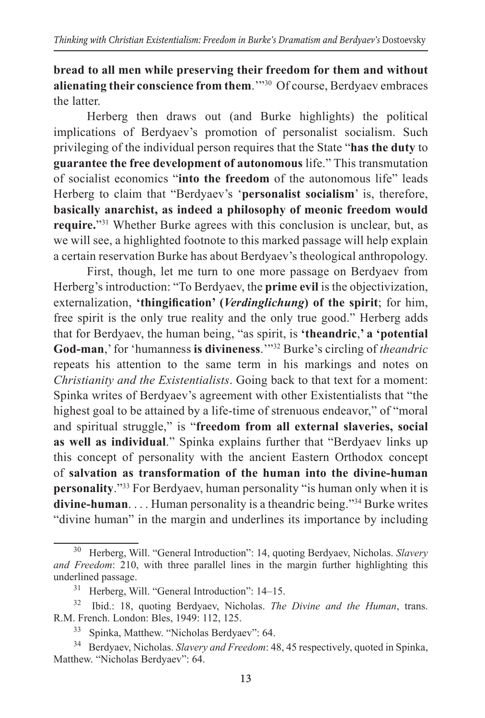**bread to all men while preserving their freedom for them and without alienating their conscience from them**.'"30 Of course, Berdyaev embraces the latter.

Herberg then draws out (and Burke highlights) the political implications of Berdyaev's promotion of personalist socialism. Such privileging of the individual person requires that the State "**has the duty** to **guarantee the free development of autonomous** life." This transmutation of socialist economics "**into the freedom** of the autonomous life" leads Herberg to claim that "Berdyaev's '**personalist socialism**' is, therefore, **basically anarchist, as indeed a philosophy of meonic freedom would require.**"<sup>31</sup> Whether Burke agrees with this conclusion is unclear, but, as we will see, a highlighted footnote to this marked passage will help explain a certain reservation Burke has about Berdyaev's theological anthropology.

First, though, let me turn to one more passage on Berdyaev from Herberg's introduction: "To Berdyaev, the **prime evil** is the objectivization, externalization, **'thingification' (***Verdinglichung***) of the spirit**; for him, free spirit is the only true reality and the only true good." Herberg adds that for Berdyaev, the human being, "as spirit, is **'theandric**,**' a 'potential God-man**,' for 'humanness **is divineness**.'"32 Burke's circling of *theandric*  repeats his attention to the same term in his markings and notes on *Christianity and the Existentialists*. Going back to that text for a moment: Spinka writes of Berdyaev's agreement with other Existentialists that "the highest goal to be attained by a life-time of strenuous endeavor," of "moral and spiritual struggle," is "**freedom from all external slaveries, social as well as individual**." Spinka explains further that "Berdyaev links up this concept of personality with the ancient Eastern Orthodox concept of **salvation as transformation of the human into the divine-human personality**."33 For Berdyaev, human personality "is human only when it is **divine-human**. . . . Human personality is a theandric being."34 Burke writes "divine human" in the margin and underlines its importance by including

<sup>30</sup> Herberg, Will. "General Introduction": 14, quoting Berdyaev, Nicholas. *Slavery and Freedom*: 210, with three parallel lines in the margin further highlighting this underlined passage.

<sup>31</sup> Herberg, Will. "General Introduction": 14–15.

<sup>32</sup> Ibid.: 18, quoting Berdyaev, Nicholas. *The Divine and the Human*, trans. R.M. French. London: Bles, 1949: 112, 125.

<sup>33</sup> Spinka, Matthew. "Nicholas Berdyaev": 64.

<sup>34</sup> Berdyaev, Nicholas. *Slavery and Freedom*: 48, 45 respectively, quoted in Spinka, Matthew. "Nicholas Berdyaev": 64.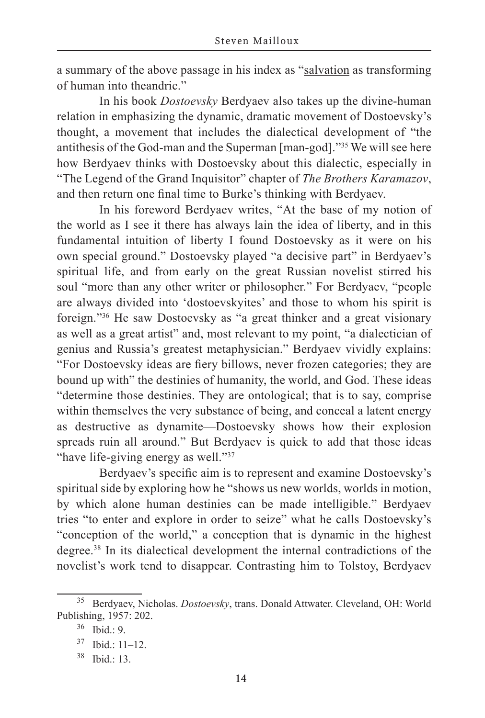a summary of the above passage in his index as "salvation as transforming of human into theandric."

In his book *Dostoevsky* Berdyaev also takes up the divine-human relation in emphasizing the dynamic, dramatic movement of Dostoevsky's thought, a movement that includes the dialectical development of "the antithesis of the God-man and the Superman [man-god]."35 We will see here how Berdyaev thinks with Dostoevsky about this dialectic, especially in "The Legend of the Grand Inquisitor" chapter of *The Brothers Karamazov*, and then return one final time to Burke's thinking with Berdyaev.

In his foreword Berdyaev writes, "At the base of my notion of the world as I see it there has always lain the idea of liberty, and in this fundamental intuition of liberty I found Dostoevsky as it were on his own special ground." Dostoevsky played "a decisive part" in Berdyaev's spiritual life, and from early on the great Russian novelist stirred his soul "more than any other writer or philosopher." For Berdyaev, "people are always divided into 'dostoevskyites' and those to whom his spirit is foreign."36 He saw Dostoevsky as "a great thinker and a great visionary as well as a great artist" and, most relevant to my point, "a dialectician of genius and Russia's greatest metaphysician." Berdyaev vividly explains: "For Dostoevsky ideas are fiery billows, never frozen categories; they are bound up with" the destinies of humanity, the world, and God. These ideas "determine those destinies. They are ontological; that is to say, comprise within themselves the very substance of being, and conceal a latent energy as destructive as dynamite—Dostoevsky shows how their explosion spreads ruin all around." But Berdyaev is quick to add that those ideas "have life-giving energy as well."<sup>37</sup>

Berdyaev's specific aim is to represent and examine Dostoevsky's spiritual side by exploring how he "shows us new worlds, worlds in motion, by which alone human destinies can be made intelligible." Berdyaev tries "to enter and explore in order to seize" what he calls Dostoevsky's "conception of the world," a conception that is dynamic in the highest degree.38 In its dialectical development the internal contradictions of the novelist's work tend to disappear. Contrasting him to Tolstoy, Berdyaev

<sup>35</sup> Berdyaev, Nicholas. *Dostoevsky*, trans. Donald Attwater. Cleveland, OH: World Publishing, 1957: 202.

<sup>36</sup> Ibid.: 9.

<sup>37</sup> Ibid.: 11–12.

<sup>38</sup> Ibid.: 13.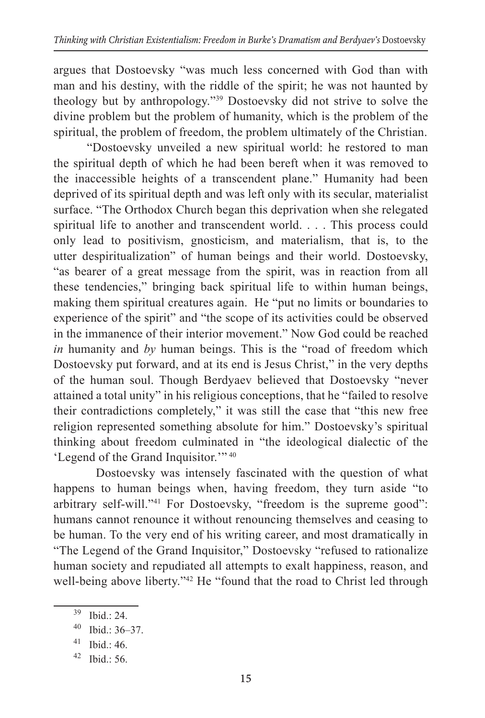argues that Dostoevsky "was much less concerned with God than with man and his destiny, with the riddle of the spirit; he was not haunted by theology but by anthropology."39 Dostoevsky did not strive to solve the divine problem but the problem of humanity, which is the problem of the spiritual, the problem of freedom, the problem ultimately of the Christian.

"Dostoevsky unveiled a new spiritual world: he restored to man the spiritual depth of which he had been bereft when it was removed to the inaccessible heights of a transcendent plane." Humanity had been deprived of its spiritual depth and was left only with its secular, materialist surface. "The Orthodox Church began this deprivation when she relegated spiritual life to another and transcendent world. . . . This process could only lead to positivism, gnosticism, and materialism, that is, to the utter despiritualization" of human beings and their world. Dostoevsky, "as bearer of a great message from the spirit, was in reaction from all these tendencies," bringing back spiritual life to within human beings, making them spiritual creatures again. He "put no limits or boundaries to experience of the spirit" and "the scope of its activities could be observed in the immanence of their interior movement." Now God could be reached *in* humanity and *by* human beings. This is the "road of freedom which Dostoevsky put forward, and at its end is Jesus Christ," in the very depths of the human soul. Though Berdyaev believed that Dostoevsky "never attained a total unity" in his religious conceptions, that he "failed to resolve their contradictions completely," it was still the case that "this new free religion represented something absolute for him." Dostoevsky's spiritual thinking about freedom culminated in "the ideological dialectic of the 'Legend of the Grand Inquisitor.'" <sup>40</sup>

Dostoevsky was intensely fascinated with the question of what happens to human beings when, having freedom, they turn aside "to arbitrary self-will."41 For Dostoevsky, "freedom is the supreme good": humans cannot renounce it without renouncing themselves and ceasing to be human. To the very end of his writing career, and most dramatically in "The Legend of the Grand Inquisitor," Dostoevsky "refused to rationalize human society and repudiated all attempts to exalt happiness, reason, and well-being above liberty."<sup>42</sup> He "found that the road to Christ led through

<sup>39</sup> Ibid.: 24.

<sup>40</sup> Ibid.: 36–37.

 $41$  Ibid.: 46.

<sup>42</sup> Ibid.: 56.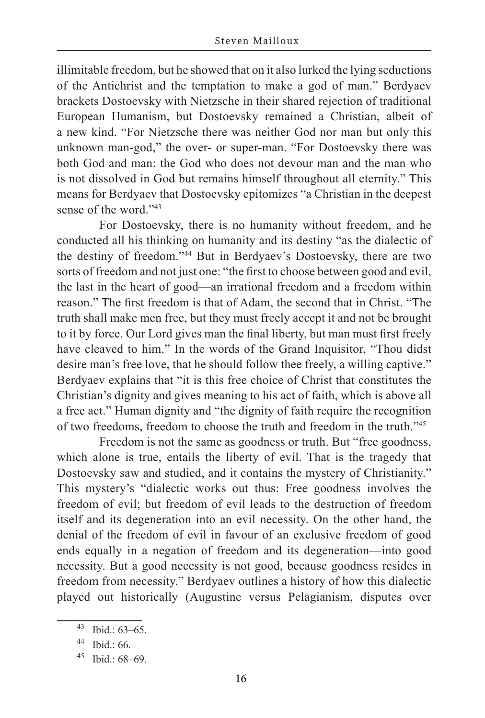illimitable freedom, but he showed that on it also lurked the lying seductions of the Antichrist and the temptation to make a god of man." Berdyaev brackets Dostoevsky with Nietzsche in their shared rejection of traditional European Humanism, but Dostoevsky remained a Christian, albeit of a new kind. "For Nietzsche there was neither God nor man but only this unknown man-god," the over- or super-man. "For Dostoevsky there was both God and man: the God who does not devour man and the man who is not dissolved in God but remains himself throughout all eternity." This means for Berdyaev that Dostoevsky epitomizes "a Christian in the deepest sense of the word."43

For Dostoevsky, there is no humanity without freedom, and he conducted all his thinking on humanity and its destiny "as the dialectic of the destiny of freedom."44 But in Berdyaev's Dostoevsky, there are two sorts of freedom and not just one: "the first to choose between good and evil, the last in the heart of good—an irrational freedom and a freedom within reason." The first freedom is that of Adam, the second that in Christ. "The truth shall make men free, but they must freely accept it and not be brought to it by force. Our Lord gives man the final liberty, but man must first freely have cleaved to him." In the words of the Grand Inquisitor, "Thou didst desire man's free love, that he should follow thee freely, a willing captive." Berdyaev explains that "it is this free choice of Christ that constitutes the Christian's dignity and gives meaning to his act of faith, which is above all a free act." Human dignity and "the dignity of faith require the recognition of two freedoms, freedom to choose the truth and freedom in the truth."45

Freedom is not the same as goodness or truth. But "free goodness, which alone is true, entails the liberty of evil. That is the tragedy that Dostoevsky saw and studied, and it contains the mystery of Christianity." This mystery's "dialectic works out thus: Free goodness involves the freedom of evil; but freedom of evil leads to the destruction of freedom itself and its degeneration into an evil necessity. On the other hand, the denial of the freedom of evil in favour of an exclusive freedom of good ends equally in a negation of freedom and its degeneration—into good necessity. But a good necessity is not good, because goodness resides in freedom from necessity." Berdyaev outlines a history of how this dialectic played out historically (Augustine versus Pelagianism, disputes over

<sup>43</sup> Ibid.: 63–65.

 $44$  Ibid.: 66.

 $45$  Ibid.: 68–69.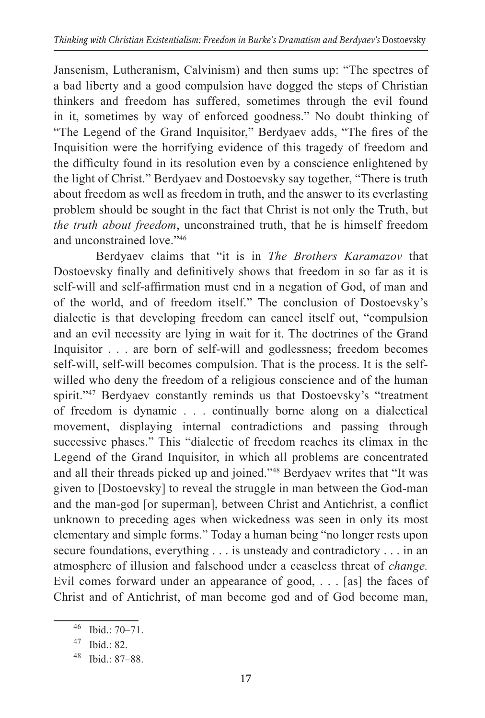Jansenism, Lutheranism, Calvinism) and then sums up: "The spectres of a bad liberty and a good compulsion have dogged the steps of Christian thinkers and freedom has suffered, sometimes through the evil found in it, sometimes by way of enforced goodness." No doubt thinking of "The Legend of the Grand Inquisitor," Berdyaev adds, "The fires of the Inquisition were the horrifying evidence of this tragedy of freedom and the difficulty found in its resolution even by a conscience enlightened by the light of Christ." Berdyaev and Dostoevsky say together, "There is truth about freedom as well as freedom in truth, and the answer to its everlasting problem should be sought in the fact that Christ is not only the Truth, but *the truth about freedom*, unconstrained truth, that he is himself freedom and unconstrained love."46

Berdyaev claims that "it is in *The Brothers Karamazov* that Dostoevsky finally and definitively shows that freedom in so far as it is self-will and self-affirmation must end in a negation of God, of man and of the world, and of freedom itself." The conclusion of Dostoevsky's dialectic is that developing freedom can cancel itself out, "compulsion and an evil necessity are lying in wait for it. The doctrines of the Grand Inquisitor . . . are born of self-will and godlessness; freedom becomes self-will, self-will becomes compulsion. That is the process. It is the selfwilled who deny the freedom of a religious conscience and of the human spirit."<sup>47</sup> Berdyaev constantly reminds us that Dostoevsky's "treatment of freedom is dynamic . . . continually borne along on a dialectical movement, displaying internal contradictions and passing through successive phases." This "dialectic of freedom reaches its climax in the Legend of the Grand Inquisitor, in which all problems are concentrated and all their threads picked up and joined."48 Berdyaev writes that "It was given to [Dostoevsky] to reveal the struggle in man between the God-man and the man-god [or superman], between Christ and Antichrist, a conflict unknown to preceding ages when wickedness was seen in only its most elementary and simple forms." Today a human being "no longer rests upon secure foundations, everything . . . is unsteady and contradictory . . . in an atmosphere of illusion and falsehood under a ceaseless threat of *change.*  Evil comes forward under an appearance of good, . . . [as] the faces of Christ and of Antichrist, of man become god and of God become man,

<sup>46</sup> Ibid.: 70–71.

<sup>47</sup> Ibid.: 82.

<sup>48</sup> Ibid.: 87–88.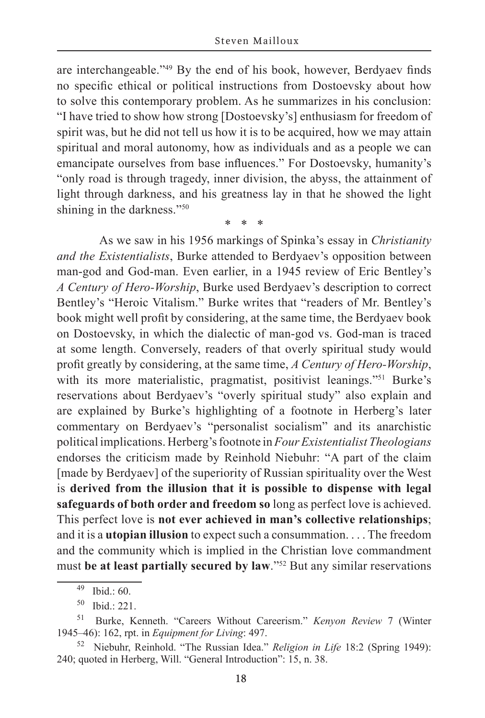are interchangeable."49 By the end of his book, however, Berdyaev finds no specific ethical or political instructions from Dostoevsky about how to solve this contemporary problem. As he summarizes in his conclusion: "I have tried to show how strong [Dostoevsky's] enthusiasm for freedom of spirit was, but he did not tell us how it is to be acquired, how we may attain spiritual and moral autonomy, how as individuals and as a people we can emancipate ourselves from base influences." For Dostoevsky, humanity's "only road is through tragedy, inner division, the abyss, the attainment of light through darkness, and his greatness lay in that he showed the light shining in the darkness."50

\* \* \*

As we saw in his 1956 markings of Spinka's essay in *Christianity and the Existentialists*, Burke attended to Berdyaev's opposition between man-god and God-man. Even earlier, in a 1945 review of Eric Bentley's *A Century of Hero-Worship*, Burke used Berdyaev's description to correct Bentley's "Heroic Vitalism." Burke writes that "readers of Mr. Bentley's book might well profit by considering, at the same time, the Berdyaev book on Dostoevsky, in which the dialectic of man-god vs. God-man is traced at some length. Conversely, readers of that overly spiritual study would profit greatly by considering, at the same time, *A Century of Hero-Worship*, with its more materialistic, pragmatist, positivist leanings."<sup>51</sup> Burke's reservations about Berdyaev's "overly spiritual study" also explain and are explained by Burke's highlighting of a footnote in Herberg's later commentary on Berdyaev's "personalist socialism" and its anarchistic political implications. Herberg's footnote in *Four Existentialist Theologians* endorses the criticism made by Reinhold Niebuhr: "A part of the claim [made by Berdyaev] of the superiority of Russian spirituality over the West is **derived from the illusion that it is possible to dispense with legal safeguards of both order and freedom so** long as perfect love is achieved. This perfect love is **not ever achieved in man's collective relationships**; and it is a **utopian illusion** to expect such a consummation. . . . The freedom and the community which is implied in the Christian love commandment must **be at least partially secured by law**."52 But any similar reservations

<sup>49</sup> Ibid.: 60.

<sup>50</sup> Ibid.: 221.

<sup>51</sup> Burke, Kenneth. "Careers Without Careerism." *Kenyon Review* 7 (Winter 1945–46): 162, rpt. in *Equipment for Living*: 497.

<sup>52</sup> Niebuhr, Reinhold. "The Russian Idea." *Religion in Life* 18:2 (Spring 1949): 240; quoted in Herberg, Will. "General Introduction": 15, n. 38.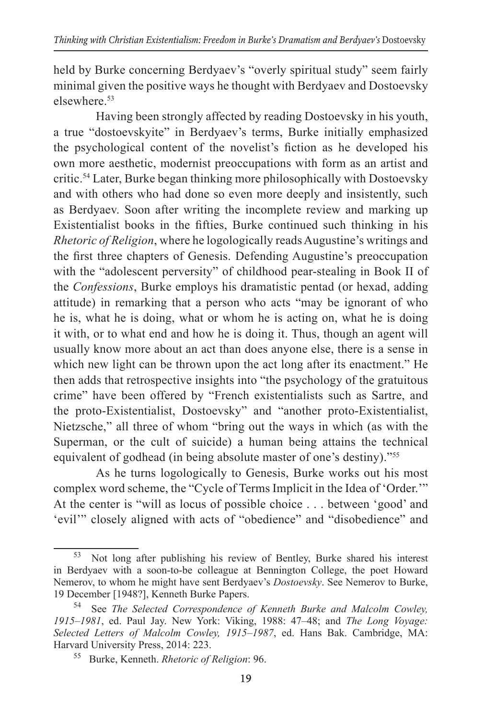held by Burke concerning Berdyaev's "overly spiritual study" seem fairly minimal given the positive ways he thought with Berdyaev and Dostoevsky elsewhere<sup>53</sup>

Having been strongly affected by reading Dostoevsky in his youth, a true "dostoevskyite" in Berdyaev's terms, Burke initially emphasized the psychological content of the novelist's fiction as he developed his own more aesthetic, modernist preoccupations with form as an artist and critic.54 Later, Burke began thinking more philosophically with Dostoevsky and with others who had done so even more deeply and insistently, such as Berdyaev. Soon after writing the incomplete review and marking up Existentialist books in the fifties, Burke continued such thinking in his *Rhetoric of Religion*, where he logologically reads Augustine's writings and the first three chapters of Genesis. Defending Augustine's preoccupation with the "adolescent perversity" of childhood pear-stealing in Book II of the *Confessions*, Burke employs his dramatistic pentad (or hexad, adding attitude) in remarking that a person who acts "may be ignorant of who he is, what he is doing, what or whom he is acting on, what he is doing it with, or to what end and how he is doing it. Thus, though an agent will usually know more about an act than does anyone else, there is a sense in which new light can be thrown upon the act long after its enactment." He then adds that retrospective insights into "the psychology of the gratuitous crime" have been offered by "French existentialists such as Sartre, and the proto-Existentialist, Dostoevsky" and "another proto-Existentialist, Nietzsche," all three of whom "bring out the ways in which (as with the Superman, or the cult of suicide) a human being attains the technical equivalent of godhead (in being absolute master of one's destiny)."<sup>55</sup>

As he turns logologically to Genesis, Burke works out his most complex word scheme, the "Cycle of Terms Implicit in the Idea of 'Order.'" At the center is "will as locus of possible choice . . . between 'good' and 'evil'" closely aligned with acts of "obedience" and "disobedience" and

<sup>53</sup> Not long after publishing his review of Bentley, Burke shared his interest in Berdyaev with a soon-to-be colleague at Bennington College, the poet Howard Nemerov, to whom he might have sent Berdyaev's *Dostoevsky*. See Nemerov to Burke, 19 December [1948?], Kenneth Burke Papers.

<sup>54</sup> See *The Selected Correspondence of Kenneth Burke and Malcolm Cowley, 1915–1981*, ed. Paul Jay. New York: Viking, 1988: 47–48; and *The Long Voyage: Selected Letters of Malcolm Cowley, 1915–1987*, ed. Hans Bak. Cambridge, MA: Harvard University Press, 2014: 223.

<sup>55</sup> Burke, Kenneth. *Rhetoric of Religion*: 96.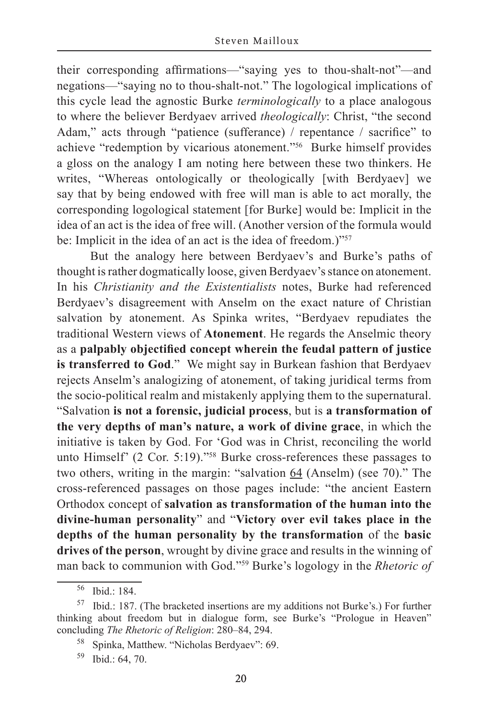their corresponding affirmations—"saying yes to thou-shalt-not"—and negations—"saying no to thou-shalt-not." The logological implications of this cycle lead the agnostic Burke *terminologically* to a place analogous to where the believer Berdyaev arrived *theologically*: Christ, "the second Adam," acts through "patience (sufferance) / repentance / sacrifice" to achieve "redemption by vicarious atonement."56 Burke himself provides a gloss on the analogy I am noting here between these two thinkers. He writes, "Whereas ontologically or theologically [with Berdyaev] we say that by being endowed with free will man is able to act morally, the corresponding logological statement [for Burke] would be: Implicit in the idea of an act is the idea of free will. (Another version of the formula would be: Implicit in the idea of an act is the idea of freedom.)"<sup>57</sup>

But the analogy here between Berdyaev's and Burke's paths of thought is rather dogmatically loose, given Berdyaev's stance on atonement. In his *Christianity and the Existentialists* notes, Burke had referenced Berdyaev's disagreement with Anselm on the exact nature of Christian salvation by atonement. As Spinka writes, "Berdyaev repudiates the traditional Western views of **Atonement**. He regards the Anselmic theory as a **palpably objectified concept wherein the feudal pattern of justice is transferred to God**." We might say in Burkean fashion that Berdyaev rejects Anselm's analogizing of atonement, of taking juridical terms from the socio-political realm and mistakenly applying them to the supernatural. "Salvation **is not a forensic, judicial process**, but is **a transformation of the very depths of man's nature, a work of divine grace**, in which the initiative is taken by God. For 'God was in Christ, reconciling the world unto Himself' (2 Cor. 5:19)."58 Burke cross-references these passages to two others, writing in the margin: "salvation 64 (Anselm) (see 70)." The cross-referenced passages on those pages include: "the ancient Eastern Orthodox concept of **salvation as transformation of the human into the divine-human personality**" and "**Victory over evil takes place in the depths of the human personality by the transformation** of the **basic drives of the person**, wrought by divine grace and results in the winning of man back to communion with God."59 Burke's logology in the *Rhetoric of* 

<sup>56</sup> Ibid.: 184.

<sup>57</sup> Ibid.: 187. (The bracketed insertions are my additions not Burke's.) For further thinking about freedom but in dialogue form, see Burke's "Prologue in Heaven" concluding *The Rhetoric of Religion*: 280–84, 294.

<sup>58</sup> Spinka, Matthew. "Nicholas Berdyaev": 69.

<sup>59</sup> Ibid.: 64, 70.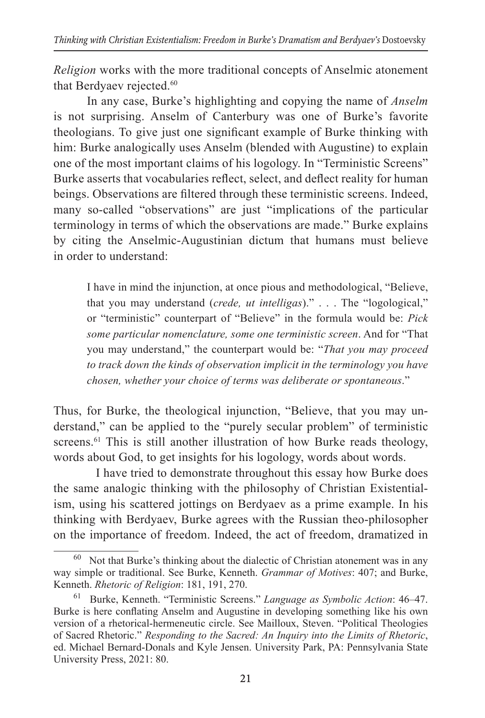*Religion* works with the more traditional concepts of Anselmic atonement that Berdyaev rejected.<sup>60</sup>

In any case, Burke's highlighting and copying the name of *Anselm* is not surprising. Anselm of Canterbury was one of Burke's favorite theologians. To give just one significant example of Burke thinking with him: Burke analogically uses Anselm (blended with Augustine) to explain one of the most important claims of his logology. In "Terministic Screens" Burke asserts that vocabularies reflect, select, and deflect reality for human beings. Observations are filtered through these terministic screens. Indeed, many so-called "observations" are just "implications of the particular terminology in terms of which the observations are made." Burke explains by citing the Anselmic-Augustinian dictum that humans must believe in order to understand:

I have in mind the injunction, at once pious and methodological, "Believe, that you may understand (*crede, ut intelligas*)." . . . The "logological," or "terministic" counterpart of "Believe" in the formula would be: *Pick some particular nomenclature, some one terministic screen*. And for "That you may understand," the counterpart would be: "*That you may proceed to track down the kinds of observation implicit in the terminology you have chosen, whether your choice of terms was deliberate or spontaneous*."

Thus, for Burke, the theological injunction, "Believe, that you may understand," can be applied to the "purely secular problem" of terministic screens.<sup>61</sup> This is still another illustration of how Burke reads theology, words about God, to get insights for his logology, words about words.

I have tried to demonstrate throughout this essay how Burke does the same analogic thinking with the philosophy of Christian Existentialism, using his scattered jottings on Berdyaev as a prime example. In his thinking with Berdyaev, Burke agrees with the Russian theo-philosopher on the importance of freedom. Indeed, the act of freedom, dramatized in

 $60$  Not that Burke's thinking about the dialectic of Christian atonement was in any way simple or traditional. See Burke, Kenneth. *Grammar of Motives*: 407; and Burke, Kenneth. *Rhetoric of Religion*: 181, 191, 270.

<sup>61</sup> Burke, Kenneth. "Terministic Screens." *Language as Symbolic Action*: 46–47. Burke is here conflating Anselm and Augustine in developing something like his own version of a rhetorical-hermeneutic circle. See Mailloux, Steven. "Political Theologies of Sacred Rhetoric." *Responding to the Sacred: An Inquiry into the Limits of Rhetoric*, ed. Michael Bernard-Donals and Kyle Jensen. University Park, PA: Pennsylvania State University Press, 2021: 80.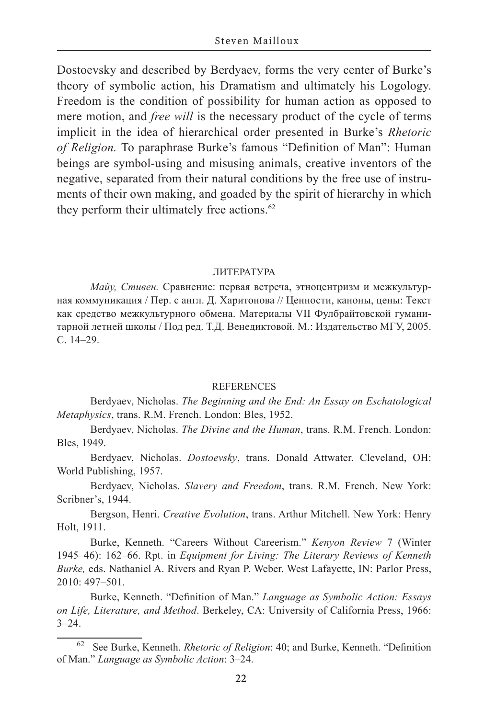Dostoevsky and described by Berdyaev, forms the very center of Burke's theory of symbolic action, his Dramatism and ultimately his Logology. Freedom is the condition of possibility for human action as opposed to mere motion, and *free will* is the necessary product of the cycle of terms implicit in the idea of hierarchical order presented in Burke's *Rhetoric of Religion.* To paraphrase Burke's famous "Definition of Man": Human beings are symbol-using and misusing animals, creative inventors of the negative, separated from their natural conditions by the free use of instruments of their own making, and goaded by the spirit of hierarchy in which they perform their ultimately free actions.<sup>62</sup>

#### ЛИТЕРАТУРА

*Майу, Стивен.* Сравнение: первая встреча, этноцентризм и межкультурная коммуникация / Пер. с англ. Д. Харитонова // Ценности, каноны, цены: Текст как средство межкультурного обмена. Материалы VII Фулбрайтовской гуманитарной летней школы / Под ред. Т.Д. Венедиктовой. М.: Издательство МГУ, 2005. С. 14–29.

#### REFERENCES

Berdyaev, Nicholas. *The Beginning and the End: An Essay on Eschatological Metaphysics*, trans. R.M. French. London: Bles, 1952.

Berdyaev, Nicholas. *The Divine and the Human*, trans. R.M. French. London: Bles, 1949.

Berdyaev, Nicholas. *Dostoevsky*, trans. Donald Attwater. Cleveland, OH: World Publishing, 1957.

Berdyaev, Nicholas. *Slavery and Freedom*, trans. R.M. French. New York: Scribner's, 1944.

Bergson, Henri. *Creative Evolution*, trans. Arthur Mitchell. New York: Henry Holt, 1911.

Burke, Kenneth. "Careers Without Careerism." *Kenyon Review* 7 (Winter 1945–46): 162–66. Rpt. in *Equipment for Living: The Literary Reviews of Kenneth Burke,* eds. Nathaniel A. Rivers and Ryan P. Weber. West Lafayette, IN: Parlor Press, 2010: 497–501.

Burke, Kenneth. "Definition of Man." *Language as Symbolic Action: Essays on Life, Literature, and Method*. Berkeley, CA: University of California Press, 1966:  $3 - 24$ .

<sup>62</sup> See Burke, Kenneth. *Rhetoric of Religion*: 40; and Burke, Kenneth. "Definition of Man." *Language as Symbolic Action*: 3–24.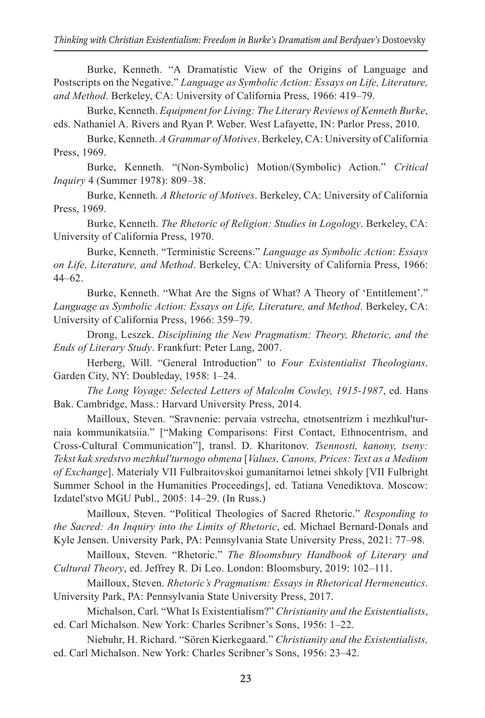Burke, Kenneth. "A Dramatistic View of the Origins of Language and Postscripts on the Negative." *Language as Symbolic Action: Essays on Life, Literature, and Method*. Berkeley, CA: University of California Press, 1966: 419–79.

Burke, Kenneth. *Equipment for Living: The Literary Reviews of Kenneth Burke*, eds. Nathaniel A. Rivers and Ryan P. Weber. West Lafayette, IN: Parlor Press, 2010.

Burke, Kenneth. *A Grammar of Motives*. Berkeley, CA: University of California Press, 1969.

Burke, Kenneth. "(Non-Symbolic) Motion/(Symbolic) Action." *Critical Inquiry* 4 (Summer 1978): 809–38.

Burke, Kenneth. *A Rhetoric of Motives*. Berkeley, CA: University of California Press, 1969.

Burke, Kenneth. *The Rhetoric of Religion: Studies in Logology*. Berkeley, CA: University of California Press, 1970.

Burke, Kenneth. "Terministic Screens." *Language as Symbolic Action*: *Essays on Life, Literature, and Method*. Berkeley, CA: University of California Press, 1966: 44–62.

Burke, Kenneth. "What Are the Signs of What? A Theory of 'Entitlement'." *Language as Symbolic Action: Essays on Life, Literature, and Method*. Berkeley, CA: University of California Press, 1966: 359–79.

Drong, Leszek. *Disciplining the New Pragmatism: Theory, Rhetoric, and the Ends of Literary Study*. Frankfurt: Peter Lang, 2007.

Herberg, Will. "General Introduction" to *Four Existentialist Theologians*. Garden City, NY: Doubleday, 1958: 1–24.

*The Long Voyage: Selected Letters of Malcolm Cowley, 1915-1987*, ed. Hans Bak. Cambridge, Mass.: Harvard University Press, 2014.

Mailloux, Steven. "Sravnenie: pervaia vstrecha, etnotsentrizm i mezhkul'turnaia kommunikatsiia." ["Making Comparisons: First Contact, Ethnocentrism, and Cross-Cultural Communication"], transl. D. Kharitonov. *Tsennosti, kanony, tseny: Tekst kak sredstvo mezhkul'turnogo obmena* [*Values, Сanons, Prices: Text as a Medium of Exchange*]. Materialy VII Fulbraitovskoi gumanitarnoi letnei shkoly [VII Fulbright Summer School in the Humanities Proceedings], ed. Tatiana Venediktova. Moscow: Izdatel'stvo MGU Publ., 2005: 14–29. (In Russ.)

Mailloux, Steven. "Political Theologies of Sacred Rhetoric." *Responding to the Sacred: An Inquiry into the Limits of Rhetoric*, ed. Michael Bernard-Donals and Kyle Jensen. University Park, PA: Pennsylvania State University Press, 2021: 77–98.

Mailloux, Steven. "Rhetoric." *The Bloomsbury Handbook of Literary and Cultural Theory*, ed. Jeffrey R. Di Leo. London: Bloomsbury, 2019: 102–111.

Mailloux, Steven. *Rhetoric's Pragmatism: Essays in Rhetorical Hermeneutics*. University Park, PA: Pennsylvania State University Press, 2017.

Michalson, Carl. "What Is Existentialism?" *Christianity and the Existentialists*, ed. Carl Michalson. New York: Charles Scribner's Sons, 1956: 1–22.

Niebuhr, H. Richard. "Sören Kierkegaard." *Christianity and the Existentialists,* ed. Carl Michalson. New York: Charles Scribner's Sons, 1956: 23–42.